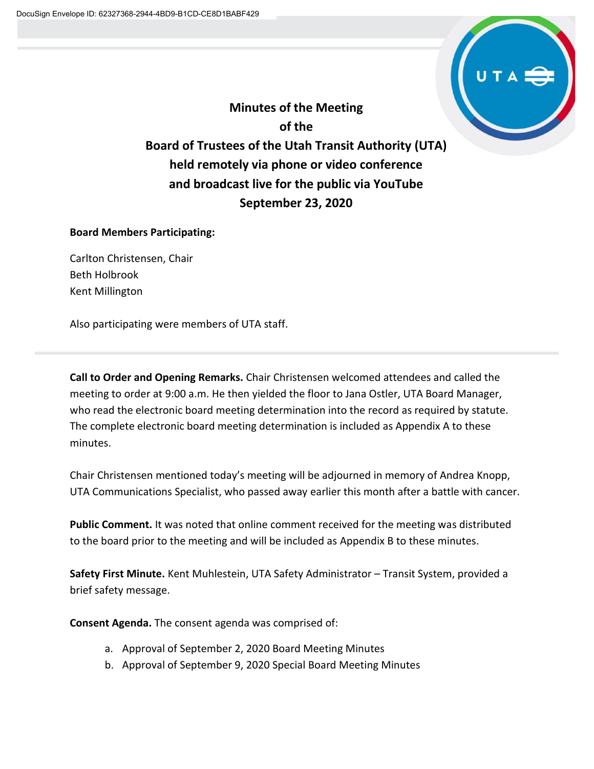

**Minutes of the Meeting of the Board of Trustees of the Utah Transit Authority (UTA) held remotely via phone or video conference and broadcast live for the public via YouTube September 23, 2020**

### **Board Members Participating:**

Carlton Christensen, Chair Beth Holbrook Kent Millington

Also participating were members of UTA staff.

**Call to Order and Opening Remarks.** Chair Christensen welcomed attendees and called the meeting to order at 9:00 a.m. He then yielded the floor to Jana Ostler, UTA Board Manager, who read the electronic board meeting determination into the record as required by statute. The complete electronic board meeting determination is included as Appendix A to these minutes.

Chair Christensen mentioned today's meeting will be adjourned in memory of Andrea Knopp, UTA Communications Specialist, who passed away earlier this month after a battle with cancer.

**Public Comment.** It was noted that online comment received for the meeting was distributed to the board prior to the meeting and will be included as Appendix B to these minutes.

**Safety First Minute.** Kent Muhlestein, UTA Safety Administrator – Transit System, provided a brief safety message.

**Consent Agenda.** The consent agenda was comprised of:

- a. Approval of September 2, 2020 Board Meeting Minutes
- b. Approval of September 9, 2020 Special Board Meeting Minutes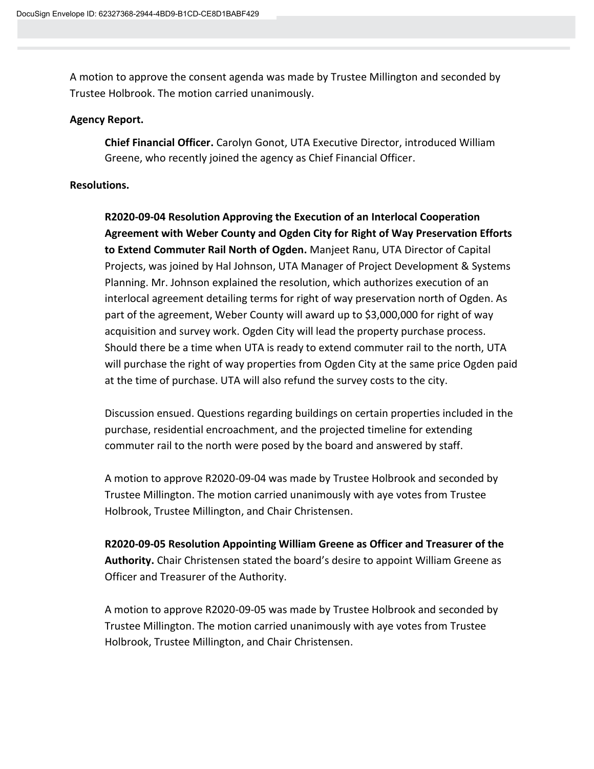A motion to approve the consent agenda was made by Trustee Millington and seconded by Trustee Holbrook. The motion carried unanimously.

#### **Agency Report.**

**Chief Financial Officer.** Carolyn Gonot, UTA Executive Director, introduced William Greene, who recently joined the agency as Chief Financial Officer.

#### **Resolutions.**

**R2020-09-04 Resolution Approving the Execution of an Interlocal Cooperation Agreement with Weber County and Ogden City for Right of Way Preservation Efforts to Extend Commuter Rail North of Ogden.** Manjeet Ranu, UTA Director of Capital Projects, was joined by Hal Johnson, UTA Manager of Project Development & Systems Planning. Mr. Johnson explained the resolution, which authorizes execution of an interlocal agreement detailing terms for right of way preservation north of Ogden. As part of the agreement, Weber County will award up to \$3,000,000 for right of way acquisition and survey work. Ogden City will lead the property purchase process. Should there be a time when UTA is ready to extend commuter rail to the north, UTA will purchase the right of way properties from Ogden City at the same price Ogden paid at the time of purchase. UTA will also refund the survey costs to the city.

Discussion ensued. Questions regarding buildings on certain properties included in the purchase, residential encroachment, and the projected timeline for extending commuter rail to the north were posed by the board and answered by staff.

A motion to approve R2020-09-04 was made by Trustee Holbrook and seconded by Trustee Millington. The motion carried unanimously with aye votes from Trustee Holbrook, Trustee Millington, and Chair Christensen.

**R2020-09-05 Resolution Appointing William Greene as Officer and Treasurer of the Authority.** Chair Christensen stated the board's desire to appoint William Greene as Officer and Treasurer of the Authority.

A motion to approve R2020-09-05 was made by Trustee Holbrook and seconded by Trustee Millington. The motion carried unanimously with aye votes from Trustee Holbrook, Trustee Millington, and Chair Christensen.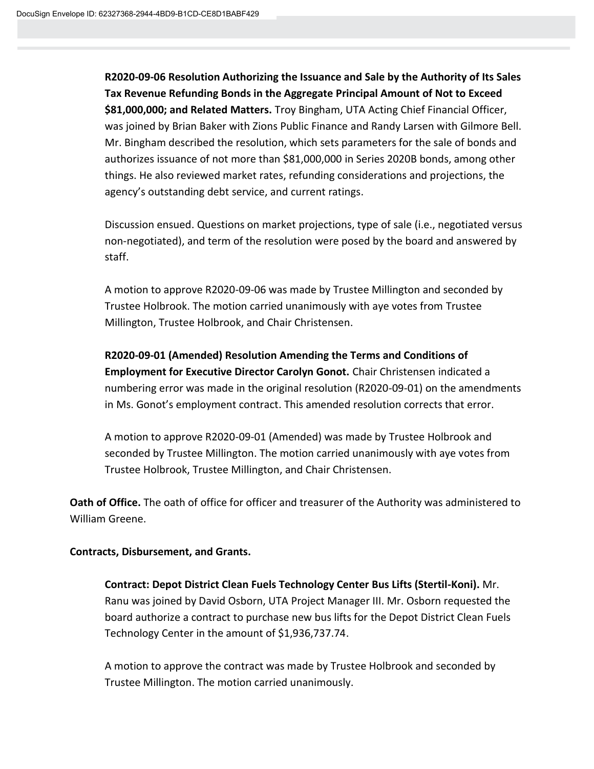**R2020-09-06 Resolution Authorizing the Issuance and Sale by the Authority of Its Sales Tax Revenue Refunding Bonds in the Aggregate Principal Amount of Not to Exceed \$81,000,000; and Related Matters.** Troy Bingham, UTA Acting Chief Financial Officer, was joined by Brian Baker with Zions Public Finance and Randy Larsen with Gilmore Bell. Mr. Bingham described the resolution, which sets parameters for the sale of bonds and authorizes issuance of not more than \$81,000,000 in Series 2020B bonds, among other things. He also reviewed market rates, refunding considerations and projections, the agency's outstanding debt service, and current ratings.

Discussion ensued. Questions on market projections, type of sale (i.e., negotiated versus non-negotiated), and term of the resolution were posed by the board and answered by staff.

A motion to approve R2020-09-06 was made by Trustee Millington and seconded by Trustee Holbrook. The motion carried unanimously with aye votes from Trustee Millington, Trustee Holbrook, and Chair Christensen.

# **R2020-09-01 (Amended) Resolution Amending the Terms and Conditions of**

**Employment for Executive Director Carolyn Gonot.** Chair Christensen indicated a numbering error was made in the original resolution (R2020-09-01) on the amendments in Ms. Gonot's employment contract. This amended resolution corrects that error.

A motion to approve R2020-09-01 (Amended) was made by Trustee Holbrook and seconded by Trustee Millington. The motion carried unanimously with aye votes from Trustee Holbrook, Trustee Millington, and Chair Christensen.

**Oath of Office.** The oath of office for officer and treasurer of the Authority was administered to William Greene.

# **Contracts, Disbursement, and Grants.**

**Contract: Depot District Clean Fuels Technology Center Bus Lifts (Stertil-Koni).** Mr. Ranu was joined by David Osborn, UTA Project Manager III. Mr. Osborn requested the board authorize a contract to purchase new bus lifts for the Depot District Clean Fuels Technology Center in the amount of \$1,936,737.74.

A motion to approve the contract was made by Trustee Holbrook and seconded by Trustee Millington. The motion carried unanimously.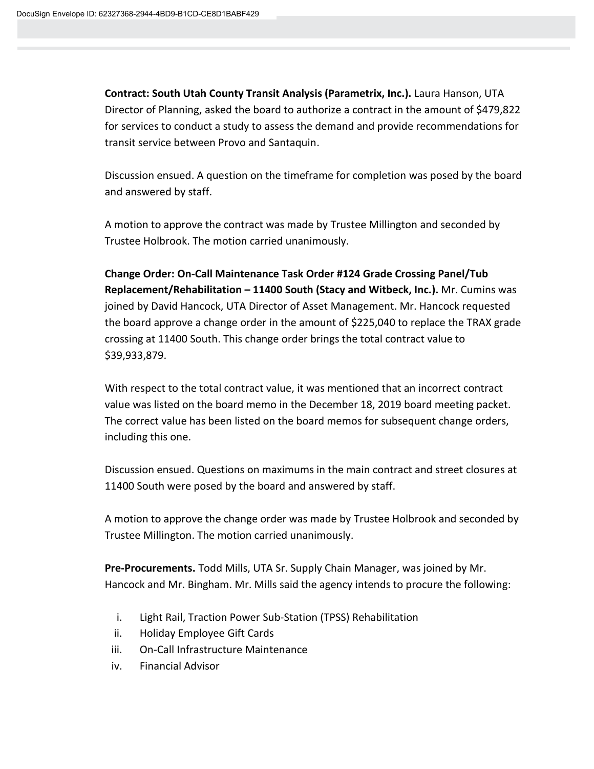**Contract: South Utah County Transit Analysis (Parametrix, Inc.).** Laura Hanson, UTA Director of Planning, asked the board to authorize a contract in the amount of \$479,822 for services to conduct a study to assess the demand and provide recommendations for transit service between Provo and Santaquin.

Discussion ensued. A question on the timeframe for completion was posed by the board and answered by staff.

A motion to approve the contract was made by Trustee Millington and seconded by Trustee Holbrook. The motion carried unanimously.

**Change Order: On-Call Maintenance Task Order #124 Grade Crossing Panel/Tub Replacement/Rehabilitation – 11400 South (Stacy and Witbeck, Inc.).** Mr. Cumins was joined by David Hancock, UTA Director of Asset Management. Mr. Hancock requested the board approve a change order in the amount of \$225,040 to replace the TRAX grade crossing at 11400 South. This change order brings the total contract value to \$39,933,879.

With respect to the total contract value, it was mentioned that an incorrect contract value was listed on the board memo in the December 18, 2019 board meeting packet. The correct value has been listed on the board memos for subsequent change orders, including this one.

Discussion ensued. Questions on maximums in the main contract and street closures at 11400 South were posed by the board and answered by staff.

A motion to approve the change order was made by Trustee Holbrook and seconded by Trustee Millington. The motion carried unanimously.

**Pre-Procurements.** Todd Mills, UTA Sr. Supply Chain Manager, was joined by Mr. Hancock and Mr. Bingham. Mr. Mills said the agency intends to procure the following:

- i. Light Rail, Traction Power Sub-Station (TPSS) Rehabilitation
- ii. Holiday Employee Gift Cards
- iii. On-Call Infrastructure Maintenance
- iv. Financial Advisor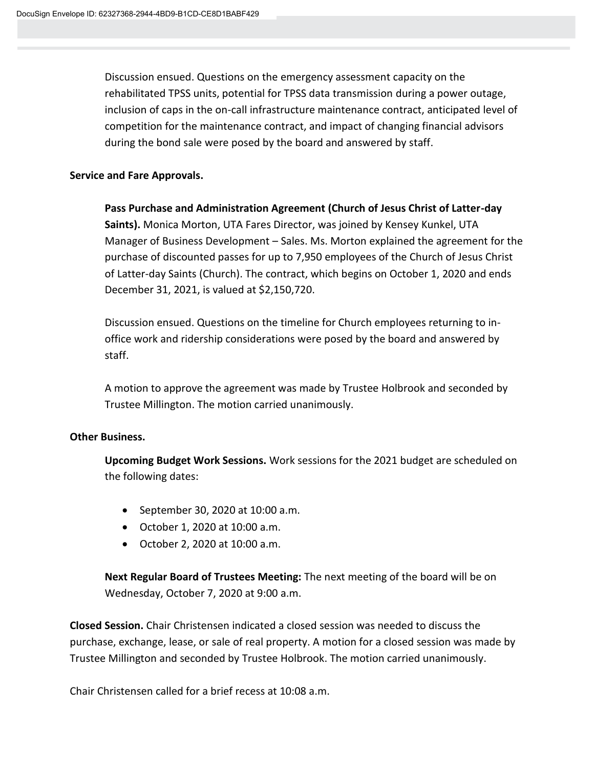Discussion ensued. Questions on the emergency assessment capacity on the rehabilitated TPSS units, potential for TPSS data transmission during a power outage, inclusion of caps in the on-call infrastructure maintenance contract, anticipated level of competition for the maintenance contract, and impact of changing financial advisors during the bond sale were posed by the board and answered by staff.

# **Service and Fare Approvals.**

**Pass Purchase and Administration Agreement (Church of Jesus Christ of Latter-day Saints).** Monica Morton, UTA Fares Director, was joined by Kensey Kunkel, UTA Manager of Business Development – Sales. Ms. Morton explained the agreement for the purchase of discounted passes for up to 7,950 employees of the Church of Jesus Christ of Latter-day Saints (Church). The contract, which begins on October 1, 2020 and ends December 31, 2021, is valued at \$2,150,720.

Discussion ensued. Questions on the timeline for Church employees returning to inoffice work and ridership considerations were posed by the board and answered by staff.

A motion to approve the agreement was made by Trustee Holbrook and seconded by Trustee Millington. The motion carried unanimously.

#### **Other Business.**

**Upcoming Budget Work Sessions.** Work sessions for the 2021 budget are scheduled on the following dates:

- September 30, 2020 at 10:00 a.m.
- October 1, 2020 at 10:00 a.m.
- October 2, 2020 at 10:00 a.m.

**Next Regular Board of Trustees Meeting:** The next meeting of the board will be on Wednesday, October 7, 2020 at 9:00 a.m.

**Closed Session.** Chair Christensen indicated a closed session was needed to discuss the purchase, exchange, lease, or sale of real property. A motion for a closed session was made by Trustee Millington and seconded by Trustee Holbrook. The motion carried unanimously.

Chair Christensen called for a brief recess at 10:08 a.m.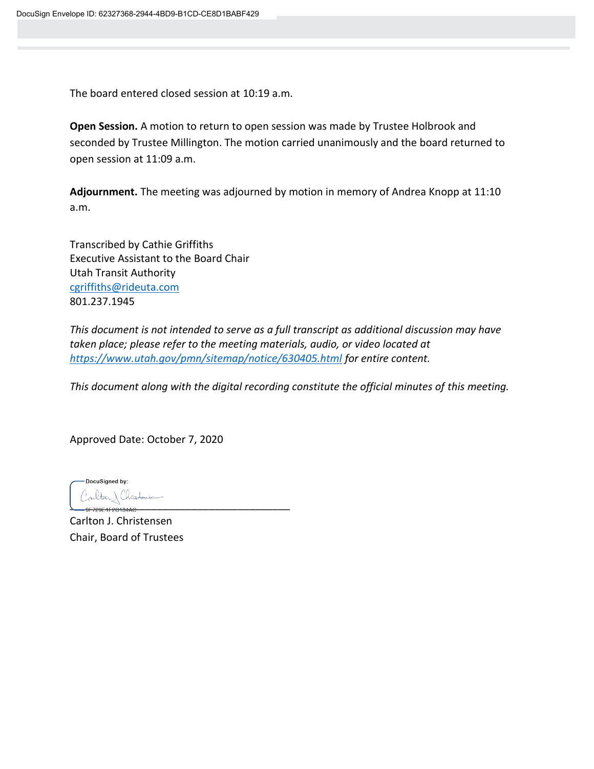The board entered closed session at 10:19 a.m.

**Open Session.** A motion to return to open session was made by Trustee Holbrook and seconded by Trustee Millington. The motion carried unanimously and the board returned to open session at 11:09 a.m.

**Adjournment.** The meeting was adjourned by motion in memory of Andrea Knopp at 11:10 a.m.

Transcribed by Cathie Griffiths Executive Assistant to the Board Chair Utah Transit Authority [cgriffiths@rideuta.com](mailto:cgriffiths@rideuta.com) 801.237.1945

*This document is not intended to serve as a full transcript as additional discussion may have taken place; please refer to the meeting materials, audio, or video located at <https://www.utah.gov/pmn/sitemap/notice/630405.html> for entire content.*

*This document along with the digital recording constitute the official minutes of this meeting.*

Approved Date: October 7, 2020

DocuSigned by:  $\overline{\phantom{a}}$ 

Carlton J. Christensen Chair, Board of Trustees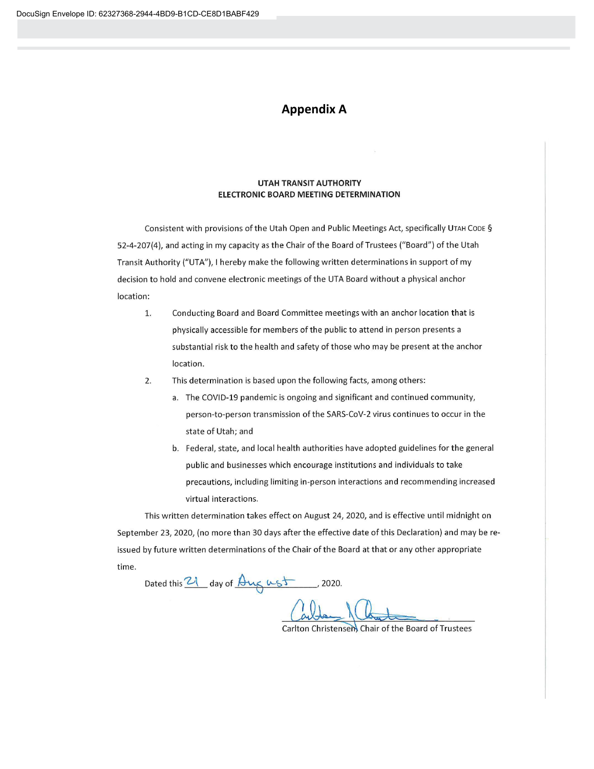# **Appendix A**

#### **UTAH TRANSIT AUTHORITY ELECTRONIC BOARD MEETING DETERMINATION**

Consistent with provisions of the Utah Open and Public Meetings Act, specifically UTAH CODE § 52-4-207(4), and acting in my capacity as the Chair of the Board of Trustees ("Board") of the Utah Transit Authority ("UTA"), I hereby make the following written determinations in support of my decision to hold and convene electronic meetings of the UTA Board without a physical anchor location:

- 1. Conducting Board and Board Committee meetings with an anchor location that is physically accessible for members of the public to attend in person presents a substantial risk to the health and safety of those who may be present at the anchor location.
- $2.$ This determination is based upon the following facts, among others:
	- a. The COVID-19 pandemic is ongoing and significant and continued community, person-to-person transmission of the SARS-CoV-2 virus continues to occur in the state of Utah; and
	- b. Federal, state, and local health authorities have adopted guidelines for the general public and businesses which encourage institutions and individuals to take precautions, including limiting in-person interactions and recommending increased virtual interactions.

This written determination takes effect on August 24, 2020, and is effective until midnight on September 23, 2020, (no more than 30 days after the effective date of this Declaration) and may be reissued by future written determinations of the Chair of the Board at that or any other appropriate time.

Dated this  $21$  day of  $\frac{\Delta u}{\Delta x}$   $\frac{\Delta u}{\Delta x}$ , 2020.

Carlton Christensem Chair of the Board of Trustees